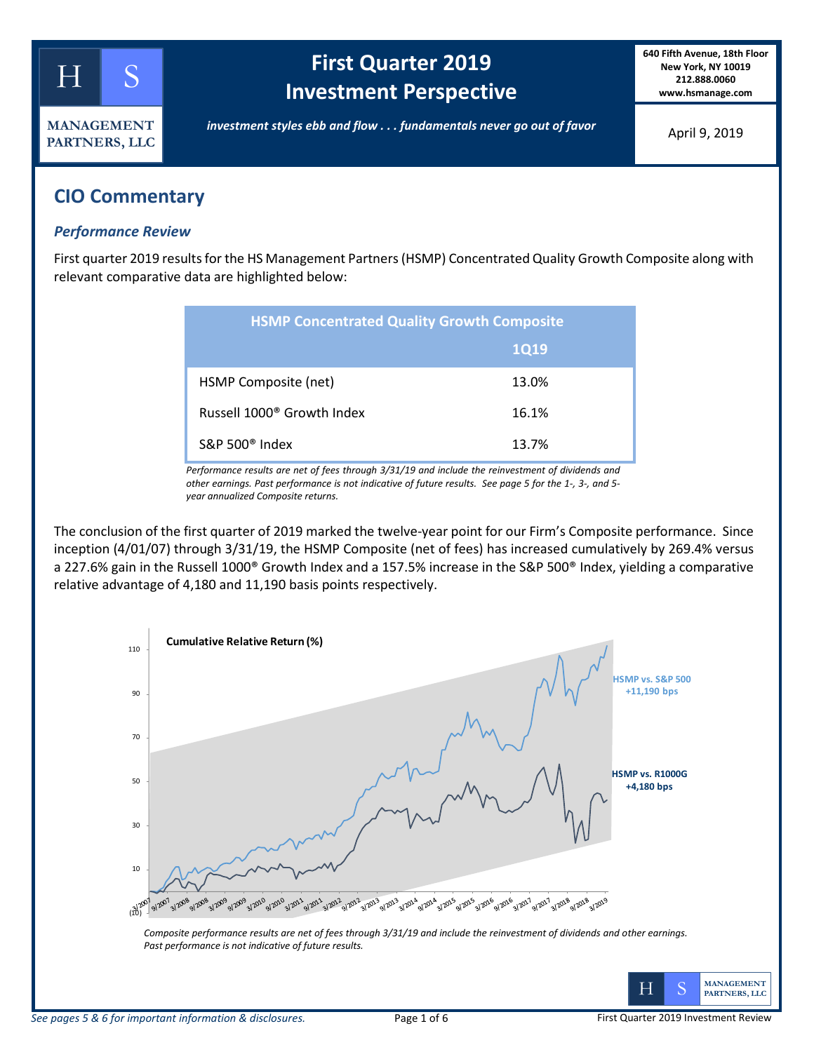

# **First Quarter 2019 Investment Perspective**

**640 Fifth Avenue, 18th Floor New York, NY 10019 212.888.0060 www.hsmanage.com**

*investment styles ebb and flow . . . fundamentals never go out of favor*

April 9, 2019

## **CIO Commentary**

#### *Performance Review*

First quarter 2019 results for the HS Management Partners (HSMP) Concentrated Quality Growth Composite along with relevant comparative data are highlighted below:

| <b>HSMP Concentrated Quality Growth Composite</b> |             |  |  |  |  |
|---------------------------------------------------|-------------|--|--|--|--|
|                                                   | <b>1Q19</b> |  |  |  |  |
| HSMP Composite (net)                              | 13.0%       |  |  |  |  |
| Russell 1000 <sup>®</sup> Growth Index            | 16.1%       |  |  |  |  |
| $S\&P 500^{\circ}$ Index                          | 13.7%       |  |  |  |  |

*Performance results are net of fees through 3/31/19 and include the reinvestment of dividends and other earnings. Past performance is not indicative of future results. See page 5 for the 1-, 3-, and 5 year annualized Composite returns.*

The conclusion of the first quarter of 2019 marked the twelve-year point for our Firm's Composite performance. Since inception (4/01/07) through 3/31/19, the HSMP Composite (net of fees) has increased cumulatively by 269.4% versus a 227.6% gain in the Russell 1000® Growth Index and a 157.5% increase in the S&P 500® Index, yielding a comparative relative advantage of 4,180 and 11,190 basis points respectively.

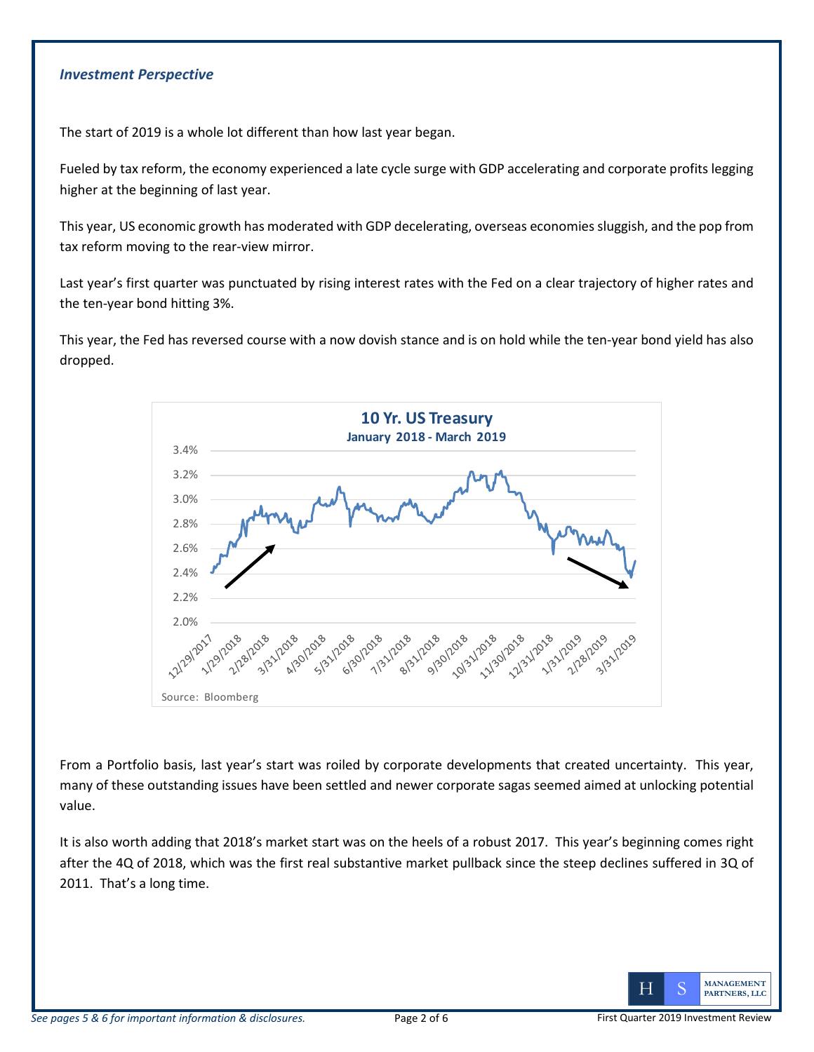#### *Investment Perspective*

The start of 2019 is a whole lot different than how last year began.

Fueled by tax reform, the economy experienced a late cycle surge with GDP accelerating and corporate profits legging higher at the beginning of last year.

This year, US economic growth has moderated with GDP decelerating, overseas economies sluggish, and the pop from tax reform moving to the rear-view mirror.

Last year's first quarter was punctuated by rising interest rates with the Fed on a clear trajectory of higher rates and the ten-year bond hitting 3%.

This year, the Fed has reversed course with a now dovish stance and is on hold while the ten-year bond yield has also dropped.



From a Portfolio basis, last year's start was roiled by corporate developments that created uncertainty. This year, many of these outstanding issues have been settled and newer corporate sagas seemed aimed at unlocking potential value.

It is also worth adding that 2018's market start was on the heels of a robust 2017. This year's beginning comes right after the 4Q of 2018, which was the first real substantive market pullback since the steep declines suffered in 3Q of 2011. That's a long time.

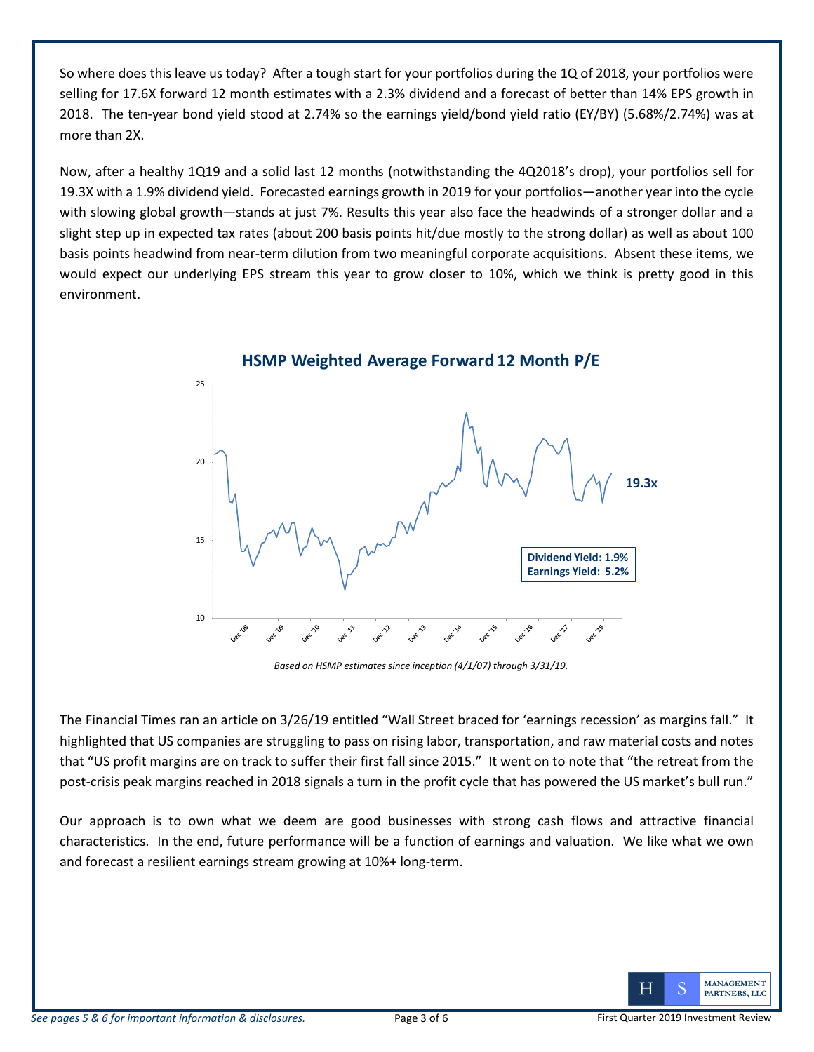So where does this leave us today? After a tough start for your portfolios during the 1Q of 2018, your portfolios were selling for 17.6X forward 12 month estimates with a 2.3% dividend and a forecast of better than 14% EPS growth in 2018. The ten-year bond yield stood at 2.74% so the earnings yield/bond yield ratio (EY/BY) (5.68%/2.74%) was at more than 2X.

Now, after a healthy 1Q19 and a solid last 12 months (notwithstanding the 4Q2018's drop), your portfolios sell for 19.3X with a 1.9% dividend yield. Forecasted earnings growth in 2019 for your portfolios—another year into the cycle with slowing global growth—stands at just 7%. Results this year also face the headwinds of a stronger dollar and a slight step up in expected tax rates (about 200 basis points hit/due mostly to the strong dollar) as well as about 100 basis points headwind from near-term dilution from two meaningful corporate acquisitions. Absent these items, we would expect our underlying EPS stream this year to grow closer to 10%, which we think is pretty good in this environment.



*Based on HSMP estimates since inception (4/1/07) through 3/31/19.*

The Financial Times ran an article on 3/26/19 entitled "Wall Street braced for 'earnings recession' as margins fall." It highlighted that US companies are struggling to pass on rising labor, transportation, and raw material costs and notes that "US profit margins are on track to suffer their first fall since 2015." It went on to note that "the retreat from the post-crisis peak margins reached in 2018 signals a turn in the profit cycle that has powered the US market's bull run."

Our approach is to own what we deem are good businesses with strong cash flows and attractive financial characteristics. In the end, future performance will be a function of earnings and valuation. We like what we own and forecast a resilient earnings stream growing at 10%+ long-term.

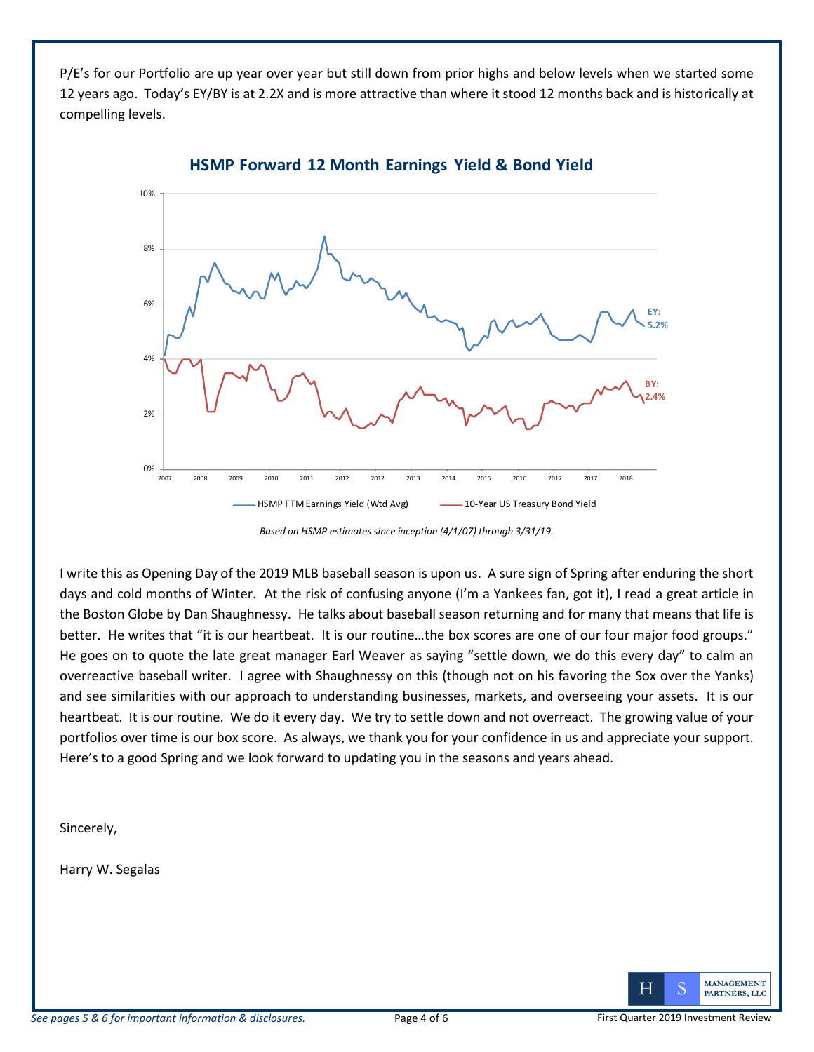P/E's for our Portfolio are up year over year but still down from prior highs and below levels when we started some 12 years ago. Today's EY/BY is at 2.2X and is more attractive than where it stood 12 months back and is historically at compelling levels.



**HSMP Forward 12 Month Earnings Yield & Bond Yield**

I write this as Opening Day of the 2019 MLB baseball season is upon us. A sure sign of Spring after enduring the short days and cold months of Winter. At the risk of confusing anyone (I'm a Yankees fan, got it), I read a great article in the Boston Globe by Dan Shaughnessy. He talks about baseball season returning and for many that means that life is better. He writes that "it is our heartbeat. It is our routine...the box scores are one of our four major food groups." He goes on to quote the late great manager Earl Weaver as saying "settle down, we do this every day" to calm an overreactive baseball writer. I agree with Shaughnessy on this (though not on his favoring the Sox over the Yanks) and see similarities with our approach to understanding businesses, markets, and overseeing your assets. It is our heartbeat. It is our routine. We do it every day. We try to settle down and not overreact. The growing value of your portfolios over time is our box score. As always, we thank you for your confidence in us and appreciate your support. Here's to a good Spring and we look forward to updating you in the seasons and years ahead.

Sincerely,

Harry W. Segalas



*Based on HSMP estimates since inception (4/1/07) through 3/31/19.*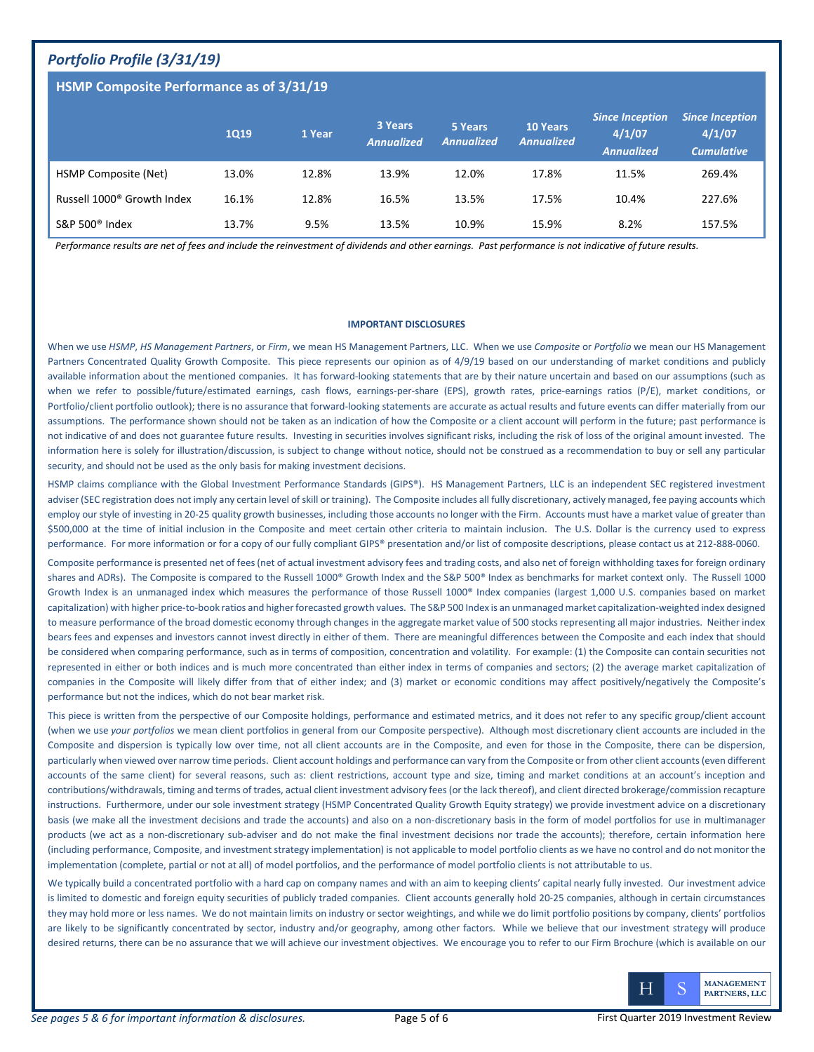### *Portfolio Profile (3/31/19)*

#### **HSMP Composite Performance as of 3/31/19**

|                                        | <b>1Q19</b> | 1 Year | 3 Years<br><b>Annualized</b> | 5 Years<br><b>Annualized</b> | <b>10 Years</b><br><b>Annualized</b> | <b>Since Inception</b><br>4/1/07<br><b>Annualized</b> | <b>Since Inception</b><br>4/1/07<br><b>Cumulative</b> |
|----------------------------------------|-------------|--------|------------------------------|------------------------------|--------------------------------------|-------------------------------------------------------|-------------------------------------------------------|
| HSMP Composite (Net)                   | 13.0%       | 12.8%  | 13.9%                        | 12.0%                        | 17.8%                                | 11.5%                                                 | 269.4%                                                |
| Russell 1000 <sup>®</sup> Growth Index | 16.1%       | 12.8%  | 16.5%                        | 13.5%                        | 17.5%                                | 10.4%                                                 | 227.6%                                                |
| S&P 500 <sup>®</sup> Index             | 13.7%       | 9.5%   | 13.5%                        | 10.9%                        | 15.9%                                | 8.2%                                                  | 157.5%                                                |

*Performance results are net of fees and include the reinvestment of dividends and other earnings. Past performance is not indicative of future results.* 

#### **IMPORTANT DISCLOSURES**

When we use *HSMP*, *HS Management Partners*, or *Firm*, we mean HS Management Partners, LLC. When we use *Composite* or *Portfolio* we mean our HS Management Partners Concentrated Quality Growth Composite. This piece represents our opinion as of 4/9/19 based on our understanding of market conditions and publicly available information about the mentioned companies. It has forward-looking statements that are by their nature uncertain and based on our assumptions (such as when we refer to possible/future/estimated earnings, cash flows, earnings-per-share (EPS), growth rates, price-earnings ratios (P/E), market conditions, or Portfolio/client portfolio outlook); there is no assurance that forward-looking statements are accurate as actual results and future events can differ materially from our assumptions. The performance shown should not be taken as an indication of how the Composite or a client account will perform in the future; past performance is not indicative of and does not guarantee future results. Investing in securities involves significant risks, including the risk of loss of the original amount invested. The information here is solely for illustration/discussion, is subject to change without notice, should not be construed as a recommendation to buy or sell any particular security, and should not be used as the only basis for making investment decisions.

HSMP claims compliance with the Global Investment Performance Standards (GIPS®). HS Management Partners, LLC is an independent SEC registered investment adviser (SEC registration does not imply any certain level of skill or training). The Composite includes all fully discretionary, actively managed, fee paying accounts which employ our style of investing in 20-25 quality growth businesses, including those accounts no longer with the Firm. Accounts must have a market value of greater than \$500,000 at the time of initial inclusion in the Composite and meet certain other criteria to maintain inclusion. The U.S. Dollar is the currency used to express performance. For more information or for a copy of our fully compliant GIPS® presentation and/or list of composite descriptions, please contact us at 212-888-0060.

Composite performance is presented net of fees (net of actual investment advisory fees and trading costs, and also net of foreign withholding taxes for foreign ordinary shares and ADRs). The Composite is compared to the Russell 1000® Growth Index and the S&P 500® Index as benchmarks for market context only. The Russell 1000 Growth Index is an unmanaged index which measures the performance of those Russell 1000® Index companies (largest 1,000 U.S. companies based on market capitalization) with higher price-to-book ratios and higher forecasted growth values. The S&P 500 Index is an unmanaged market capitalization-weighted index designed to measure performance of the broad domestic economy through changes in the aggregate market value of 500 stocks representing all major industries. Neither index bears fees and expenses and investors cannot invest directly in either of them. There are meaningful differences between the Composite and each index that should be considered when comparing performance, such as in terms of composition, concentration and volatility. For example: (1) the Composite can contain securities not represented in either or both indices and is much more concentrated than either index in terms of companies and sectors; (2) the average market capitalization of companies in the Composite will likely differ from that of either index; and (3) market or economic conditions may affect positively/negatively the Composite's performance but not the indices, which do not bear market risk.

This piece is written from the perspective of our Composite holdings, performance and estimated metrics, and it does not refer to any specific group/client account (when we use *your portfolios* we mean client portfolios in general from our Composite perspective). Although most discretionary client accounts are included in the Composite and dispersion is typically low over time, not all client accounts are in the Composite, and even for those in the Composite, there can be dispersion, particularly when viewed over narrow time periods. Client account holdings and performance can vary from the Composite or from other client accounts (even different accounts of the same client) for several reasons, such as: client restrictions, account type and size, timing and market conditions at an account's inception and contributions/withdrawals, timing and terms of trades, actual client investment advisory fees (or the lack thereof), and client directed brokerage/commission recapture instructions. Furthermore, under our sole investment strategy (HSMP Concentrated Quality Growth Equity strategy) we provide investment advice on a discretionary basis (we make all the investment decisions and trade the accounts) and also on a non-discretionary basis in the form of model portfolios for use in multimanager products (we act as a non-discretionary sub-adviser and do not make the final investment decisions nor trade the accounts); therefore, certain information here (including performance, Composite, and investment strategy implementation) is not applicable to model portfolio clients as we have no control and do not monitor the implementation (complete, partial or not at all) of model portfolios, and the performance of model portfolio clients is not attributable to us.

We typically build a concentrated portfolio with a hard cap on company names and with an aim to keeping clients' capital nearly fully invested. Our investment advice is limited to domestic and foreign equity securities of publicly traded companies. Client accounts generally hold 20-25 companies, although in certain circumstances they may hold more or less names. We do not maintain limits on industry or sector weightings, and while we do limit portfolio positions by company, clients' portfolios are likely to be significantly concentrated by sector, industry and/or geography, among other factors. While we believe that our investment strategy will produce desired returns, there can be no assurance that we will achieve our investment objectives. We encourage you to refer to our Firm Brochure (which is available on our